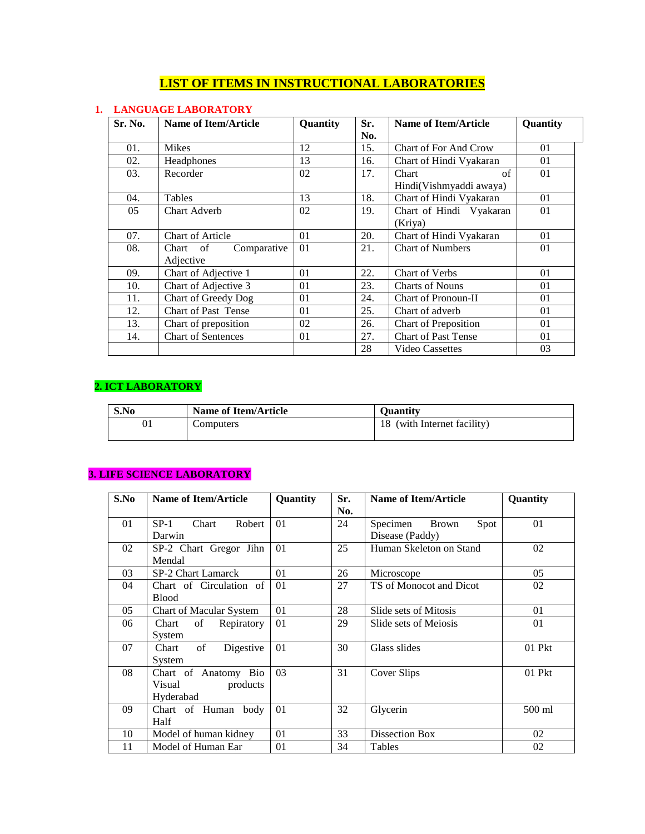# **LIST OF ITEMS IN INSTRUCTIONAL LABORATORIES**

#### **1. LANGUAGE LABORATORY**

| Sr. No. | Name of Item/Article         | Quantity | Sr. | Name of Item/Article         | Quantity |
|---------|------------------------------|----------|-----|------------------------------|----------|
|         |                              |          | No. |                              |          |
| 01.     | <b>Mikes</b>                 | 12       | 15. | <b>Chart of For And Crow</b> | 01       |
| 02.     | Headphones                   | 13       | 16. | Chart of Hindi Vyakaran      | 01       |
| 03.     | Recorder                     | 02       | 17. | of<br>Chart                  | 01       |
|         |                              |          |     | Hindi(Vishmyaddi awaya)      |          |
| 04.     | Tables                       | 13       | 18. | Chart of Hindi Vyakaran      | 01       |
| 05      | Chart Adverb                 | 02       | 19. | Chart of Hindi Vyakaran      | 01       |
|         |                              |          |     | (Kriya)                      |          |
| 07.     | <b>Chart of Article</b>      | 01       | 20. | Chart of Hindi Vyakaran      | 01       |
| 08.     | Comparative<br>Chart<br>- of | 01       | 21. | <b>Chart of Numbers</b>      | 01       |
|         | Adjective                    |          |     |                              |          |
| 09.     | Chart of Adjective 1         | 01       | 22. | <b>Chart of Verbs</b>        | 01       |
| 10.     | Chart of Adjective 3         | 01       | 23. | <b>Charts of Nouns</b>       | 01       |
| 11.     | Chart of Greedy Dog          | 01       | 24. | Chart of Pronoun-II          | 01       |
| 12.     | Chart of Past Tense          | 01       | 25. | Chart of adverb              | 01       |
| 13.     | Chart of preposition         | 02       | 26. | <b>Chart of Preposition</b>  | 01       |
| 14.     | Chart of Sentences           | 01       | 27. | Chart of Past Tense          | 01       |
|         |                              |          | 28  | Video Cassettes              | 03       |

# **2. ICT LABORATORY**

| S.No | <b>Name of Item/Article</b> | Ouantity                    |
|------|-----------------------------|-----------------------------|
| 01   | Computers                   | 18 (with Internet facility) |

#### **3. LIFE SCIENCE LABORATORY**

| S.No | <b>Name of Item/Article</b> | Quantity | Sr. | Name of Item/Article             | Quantity |
|------|-----------------------------|----------|-----|----------------------------------|----------|
|      |                             |          | No. |                                  |          |
| 01   | Chart<br>Robert<br>$SP-1$   | 01       | 24  | <b>Brown</b><br>Spot<br>Specimen | 01       |
|      | Darwin                      |          |     | Disease (Paddy)                  |          |
| 02   | SP-2 Chart Gregor Jihn      | 01       | 25  | Human Skeleton on Stand          | 02       |
|      | Mendal                      |          |     |                                  |          |
| 03   | SP-2 Chart Lamarck          | 01       | 26  | Microscope                       | 05       |
| 04   | Chart of Circulation of     | 01       | 27  | TS of Monocot and Dicot          | 02       |
|      | <b>Blood</b>                |          |     |                                  |          |
| 05   | Chart of Macular System     | 01       | 28  | Slide sets of Mitosis            | 01       |
| 06   | of<br>Repiratory<br>Chart   | 01       | 29  | Slide sets of Meiosis            | 01       |
|      | System                      |          |     |                                  |          |
| 07   | Digestive<br>Chart<br>of    | 01       | 30  | Glass slides                     | $01$ Pkt |
|      | System                      |          |     |                                  |          |
| 08   | Chart of Anatomy Bio        | 03       | 31  | Cover Slips                      | 01 Pkt   |
|      | Visual<br>products          |          |     |                                  |          |
|      | Hyderabad                   |          |     |                                  |          |
| 09   | Chart of Human<br>body      | 01       | 32  | Glycerin                         | 500 ml   |
|      | Half                        |          |     |                                  |          |
| 10   | Model of human kidney       | 01       | 33  | Dissection Box                   | 02       |
| 11   | Model of Human Ear          | 01       | 34  | Tables                           | 02       |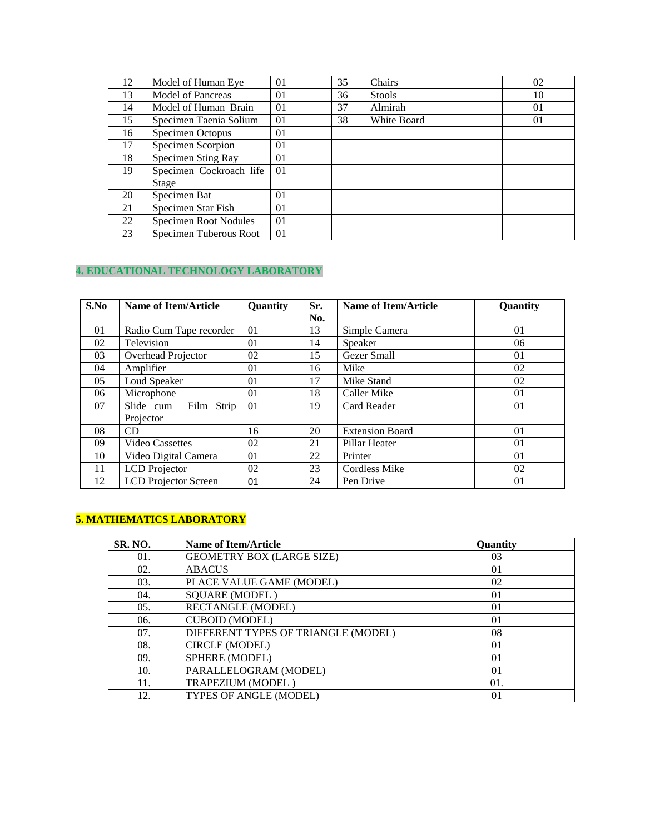| 12 | Model of Human Eye           | 0 <sub>1</sub> | 35 | Chairs        | 02 |
|----|------------------------------|----------------|----|---------------|----|
| 13 | <b>Model of Pancreas</b>     | 01             | 36 | <b>Stools</b> | 10 |
| 14 | Model of Human Brain         | 01             | 37 | Almirah       | 01 |
| 15 | Specimen Taenia Solium       | 01             | 38 | White Board   | 01 |
| 16 | Specimen Octopus             | 01             |    |               |    |
| 17 | Specimen Scorpion            | 01             |    |               |    |
| 18 | Specimen Sting Ray           | 01             |    |               |    |
| 19 | Specimen Cockroach life      | 01             |    |               |    |
|    | Stage                        |                |    |               |    |
| 20 | Specimen Bat                 | 01             |    |               |    |
| 21 | Specimen Star Fish           | 01             |    |               |    |
| 22 | <b>Specimen Root Nodules</b> | 01             |    |               |    |
| 23 | Specimen Tuberous Root       | 01             |    |               |    |

## **4. EDUCATIONAL TECHNOLOGY LABORATORY**

| S.No | <b>Name of Item/Article</b> | Quantity | Sr. | <b>Name of Item/Article</b> | Quantity |
|------|-----------------------------|----------|-----|-----------------------------|----------|
|      |                             |          | No. |                             |          |
| 01   | Radio Cum Tape recorder     | 01       | 13  | Simple Camera               | 01       |
| 02   | Television                  | 01       | 14  | Speaker                     | 06       |
| 03   | Overhead Projector          | 02       | 15  | Gezer Small                 | 01       |
| 04   | Amplifier                   | 01       | 16  | Mike                        | 02       |
| 05   | Loud Speaker                | 01       | 17  | Mike Stand                  | 02       |
| 06   | Microphone                  | 01       | 18  | Caller Mike                 | 01       |
| 07   | Slide cum<br>Film<br>Strip  | 01       | 19  | Card Reader                 | 01       |
|      | Projector                   |          |     |                             |          |
| 08   | CD                          | 16       | 20  | <b>Extension Board</b>      | 01       |
| 09   | Video Cassettes             | 02       | 21  | Pillar Heater               | 01       |
| 10   | Video Digital Camera        | 01       | 22  | Printer                     | 01       |
| 11   | <b>LCD</b> Projector        | 02       | 23  | Cordless Mike               | 02       |
| 12   | <b>LCD</b> Projector Screen | 01       | 24  | Pen Drive                   | 01       |

## **5. MATHEMATICS LABORATORY**

| SR. NO. | <b>Name of Item/Article</b>         | Quantity |
|---------|-------------------------------------|----------|
| 01.     | <b>GEOMETRY BOX (LARGE SIZE)</b>    | 03       |
| 02.     | <b>ABACUS</b>                       | 01       |
| 03.     | PLACE VALUE GAME (MODEL)            | 02       |
| 04.     | <b>SQUARE (MODEL)</b>               | 01       |
| 05.     | <b>RECTANGLE (MODEL)</b>            | 01       |
| 06.     | <b>CUBOID (MODEL)</b>               | 01       |
| 07.     | DIFFERENT TYPES OF TRIANGLE (MODEL) | 08       |
| 08.     | CIRCLE (MODEL)                      | 01       |
| 09.     | SPHERE (MODEL)                      | 01       |
| 10.     | PARALLELOGRAM (MODEL)               | 01       |
| 11.     | TRAPEZIUM (MODEL)                   | 01.      |
| 12.     | TYPES OF ANGLE (MODEL)              | 01       |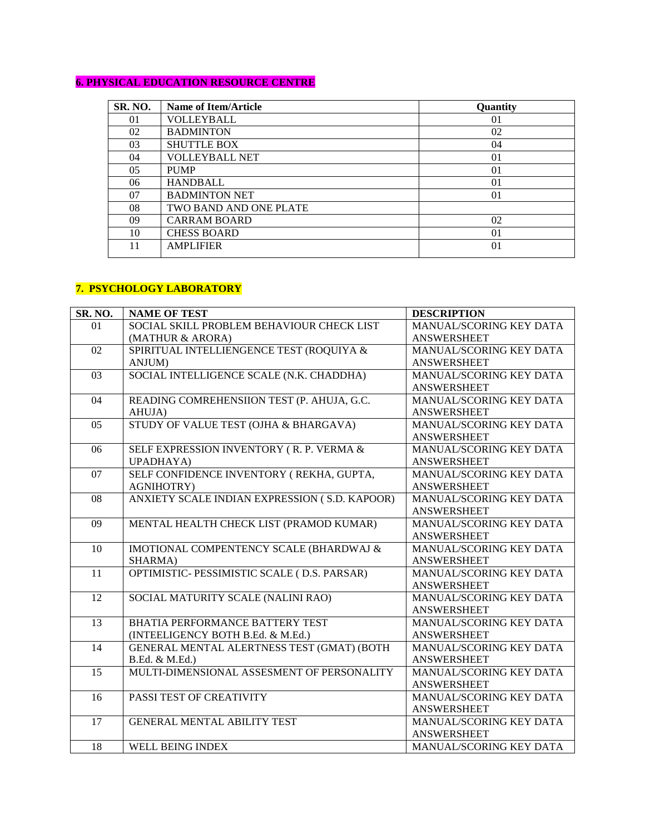#### **6. PHYSICAL EDUCATION RESOURCE CENTRE**

| <b>SR. NO.</b> | <b>Name of Item/Article</b> | Quantity |
|----------------|-----------------------------|----------|
| 01             | VOLLEYBALL                  | 01       |
| 02             | <b>BADMINTON</b>            | 02       |
| 03             | <b>SHUTTLE BOX</b>          | 04       |
| 04             | <b>VOLLEYBALL NET</b>       | 01       |
| 05             | <b>PUMP</b>                 | 01       |
| 06             | <b>HANDBALL</b>             | 01       |
| 07             | <b>BADMINTON NET</b>        | 01       |
| 08             | TWO BAND AND ONE PLATE      |          |
| 09             | <b>CARRAM BOARD</b>         | 02       |
| 10             | <b>CHESS BOARD</b>          | 01       |
| 11             | <b>AMPLIFIER</b>            | 01       |
|                |                             |          |

#### **7. PSYCHOLOGY LABORATORY**

| SR. NO. | <b>NAME OF TEST</b>                                | <b>DESCRIPTION</b>      |
|---------|----------------------------------------------------|-------------------------|
| 01      | SOCIAL SKILL PROBLEM BEHAVIOUR CHECK LIST          | MANUAL/SCORING KEY DATA |
|         | (MATHUR & ARORA)                                   | <b>ANSWERSHEET</b>      |
| 02      | SPIRITUAL INTELLIENGENCE TEST (ROQUIYA &           | MANUAL/SCORING KEY DATA |
|         | <b>ANJUM</b>                                       | <b>ANSWERSHEET</b>      |
| 03      | SOCIAL INTELLIGENCE SCALE (N.K. CHADDHA)           | MANUAL/SCORING KEY DATA |
|         |                                                    | <b>ANSWERSHEET</b>      |
| 04      | READING COMREHENSIION TEST (P. AHUJA, G.C.         | MANUAL/SCORING KEY DATA |
|         | AHUJA)                                             | <b>ANSWERSHEET</b>      |
| 05      | STUDY OF VALUE TEST (OJHA & BHARGAVA)              | MANUAL/SCORING KEY DATA |
|         |                                                    | <b>ANSWERSHEET</b>      |
| 06      | SELF EXPRESSION INVENTORY (R. P. VERMA &           | MANUAL/SCORING KEY DATA |
|         | UPADHAYA)                                          | <b>ANSWERSHEET</b>      |
| 07      | SELF CONFIDENCE INVENTORY (REKHA, GUPTA,           | MANUAL/SCORING KEY DATA |
|         | <b>AGNIHOTRY)</b>                                  | <b>ANSWERSHEET</b>      |
| 08      | ANXIETY SCALE INDIAN EXPRESSION (S.D. KAPOOR)      | MANUAL/SCORING KEY DATA |
|         |                                                    | <b>ANSWERSHEET</b>      |
| 09      | MENTAL HEALTH CHECK LIST (PRAMOD KUMAR)            | MANUAL/SCORING KEY DATA |
|         |                                                    | <b>ANSWERSHEET</b>      |
| 10      | <b>IMOTIONAL COMPENTENCY SCALE (BHARDWAJ &amp;</b> | MANUAL/SCORING KEY DATA |
|         | SHARMA)                                            | <b>ANSWERSHEET</b>      |
| 11      | OPTIMISTIC- PESSIMISTIC SCALE (D.S. PARSAR)        | MANUAL/SCORING KEY DATA |
|         |                                                    | <b>ANSWERSHEET</b>      |
| 12      | SOCIAL MATURITY SCALE (NALINI RAO)                 | MANUAL/SCORING KEY DATA |
|         |                                                    | <b>ANSWERSHEET</b>      |
| 13      | BHATIA PERFORMANCE BATTERY TEST                    | MANUAL/SCORING KEY DATA |
|         | (INTEELIGENCY BOTH B.Ed. & M.Ed.)                  | <b>ANSWERSHEET</b>      |
| 14      | GENERAL MENTAL ALERTNESS TEST (GMAT) (BOTH         | MANUAL/SCORING KEY DATA |
|         | B.Ed. & M.Ed.)                                     | <b>ANSWERSHEET</b>      |
| 15      | MULTI-DIMENSIONAL ASSESMENT OF PERSONALITY         | MANUAL/SCORING KEY DATA |
|         |                                                    | <b>ANSWERSHEET</b>      |
| 16      | PASSI TEST OF CREATIVITY                           | MANUAL/SCORING KEY DATA |
|         |                                                    | <b>ANSWERSHEET</b>      |
| 17      | <b>GENERAL MENTAL ABILITY TEST</b>                 | MANUAL/SCORING KEY DATA |
|         |                                                    | <b>ANSWERSHEET</b>      |
| 18      | WELL BEING INDEX                                   | MANUAL/SCORING KEY DATA |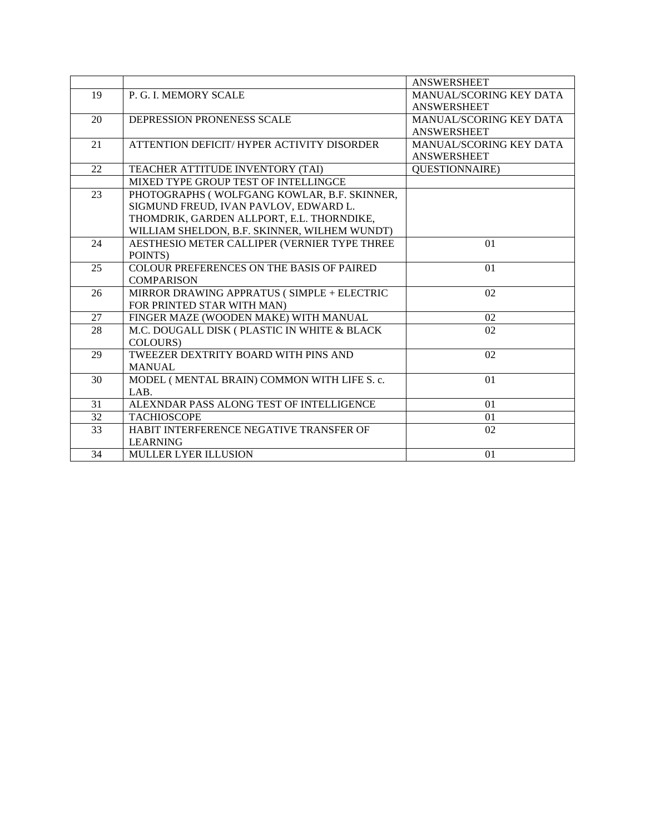|    |                                                  | <b>ANSWERSHEET</b>             |
|----|--------------------------------------------------|--------------------------------|
| 19 | P. G. I. MEMORY SCALE                            | <b>MANUAL/SCORING KEY DATA</b> |
|    |                                                  | <b>ANSWERSHEET</b>             |
| 20 | DEPRESSION PRONENESS SCALE                       | MANUAL/SCORING KEY DATA        |
|    |                                                  | <b>ANSWERSHEET</b>             |
| 21 | ATTENTION DEFICIT/ HYPER ACTIVITY DISORDER       | MANUAL/SCORING KEY DATA        |
|    |                                                  | <b>ANSWERSHEET</b>             |
| 22 | TEACHER ATTITUDE INVENTORY (TAI)                 | <b>QUESTIONNAIRE</b> )         |
|    | MIXED TYPE GROUP TEST OF INTELLINGCE             |                                |
| 23 | PHOTOGRAPHS (WOLFGANG KOWLAR, B.F. SKINNER,      |                                |
|    | SIGMUND FREUD, IVAN PAVLOV, EDWARD L.            |                                |
|    | THOMDRIK, GARDEN ALLPORT, E.L. THORNDIKE,        |                                |
|    | WILLIAM SHELDON, B.F. SKINNER, WILHEM WUNDT)     |                                |
| 24 | AESTHESIO METER CALLIPER (VERNIER TYPE THREE     | 01                             |
|    | POINTS)                                          |                                |
| 25 | <b>COLOUR PREFERENCES ON THE BASIS OF PAIRED</b> | 01                             |
|    | <b>COMPARISON</b>                                |                                |
| 26 | MIRROR DRAWING APPRATUS (SIMPLE + ELECTRIC       | 02                             |
|    | FOR PRINTED STAR WITH MAN)                       |                                |
| 27 | FINGER MAZE (WOODEN MAKE) WITH MANUAL            | 02                             |
| 28 | M.C. DOUGALL DISK ( PLASTIC IN WHITE & BLACK     | 02                             |
|    | COLOURS)                                         |                                |
| 29 | TWEEZER DEXTRITY BOARD WITH PINS AND             | 02                             |
|    | <b>MANUAL</b>                                    |                                |
| 30 | MODEL (MENTAL BRAIN) COMMON WITH LIFE S. c.      | 01                             |
|    | LAB.                                             |                                |
| 31 | ALEXNDAR PASS ALONG TEST OF INTELLIGENCE         | 01                             |
| 32 | <b>TACHIOSCOPE</b>                               | 01                             |
| 33 | HABIT INTERFERENCE NEGATIVE TRANSFER OF          | 02                             |
|    | <b>LEARNING</b>                                  |                                |
| 34 | <b>MULLER LYER ILLUSION</b>                      | 01                             |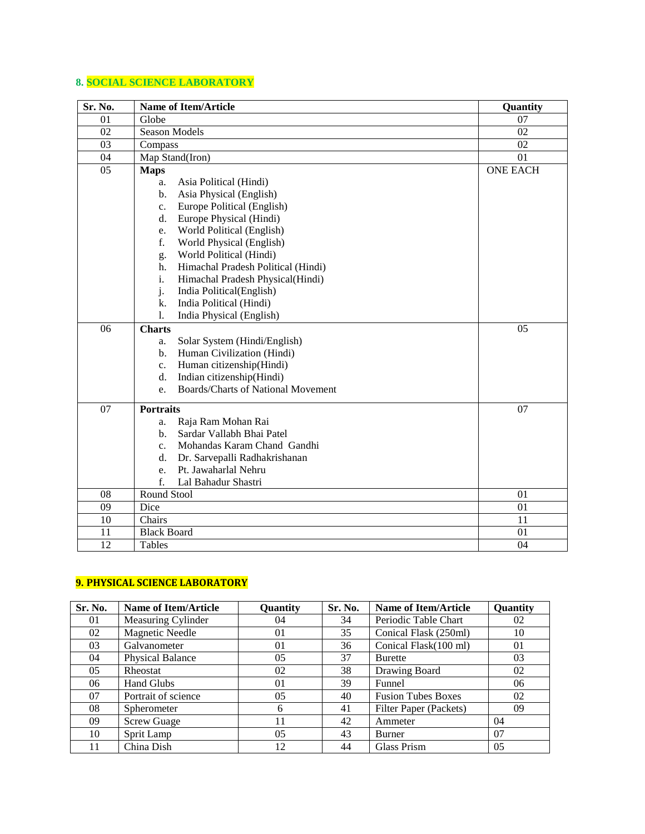## **8. SOCIAL SCIENCE LABORATORY**

| Sr. No.         | <b>Name of Item/Article</b>                     | Quantity        |
|-----------------|-------------------------------------------------|-----------------|
| 01              | Globe                                           | 07              |
| 02              | Season Models                                   | 02              |
| 03              | Compass                                         | 02              |
| 04              | Map Stand(Iron)                                 | 01              |
| 05              | <b>Maps</b>                                     | <b>ONE EACH</b> |
|                 | Asia Political (Hindi)<br>a.                    |                 |
|                 | Asia Physical (English)<br>b.                   |                 |
|                 | Europe Political (English)<br>$\mathbf{c}$ .    |                 |
|                 | Europe Physical (Hindi)<br>d.                   |                 |
|                 | World Political (English)<br>e.                 |                 |
|                 | f.<br>World Physical (English)                  |                 |
|                 | World Political (Hindi)<br>g.                   |                 |
|                 | Himachal Pradesh Political (Hindi)<br>h.        |                 |
|                 | i.<br>Himachal Pradesh Physical(Hindi)          |                 |
|                 | j.<br>India Political(English)                  |                 |
|                 | India Political (Hindi)<br>k.                   |                 |
|                 | India Physical (English)<br>1.                  |                 |
| $\overline{06}$ | <b>Charts</b>                                   | 05              |
|                 | Solar System (Hindi/English)<br>a.              |                 |
|                 | Human Civilization (Hindi)<br>b.                |                 |
|                 | Human citizenship(Hindi)<br>c.                  |                 |
|                 | Indian citizenship(Hindi)<br>d.                 |                 |
|                 | <b>Boards/Charts of National Movement</b><br>e. |                 |
| $\overline{07}$ | <b>Portraits</b>                                | 07              |
|                 | Raja Ram Mohan Rai<br>a.                        |                 |
|                 | Sardar Vallabh Bhai Patel<br>b.                 |                 |
|                 | Mohandas Karam Chand Gandhi<br>$\mathbf{c}$ .   |                 |
|                 | Dr. Sarvepalli Radhakrishanan<br>d.             |                 |
|                 | Pt. Jawaharlal Nehru<br>e.                      |                 |
|                 | f.<br>Lal Bahadur Shastri                       |                 |
| 08              | Round Stool                                     | 01              |
| 09              | Dice                                            | 01              |
| 10              | Chairs                                          | 11              |
| 11              | <b>Black Board</b>                              | 01              |
| 12              | Tables                                          | 04              |

#### **9. PHYSICAL SCIENCE LABORATORY**

| Sr. No. | <b>Name of Item/Article</b> | Quantity       | Sr. No. | <b>Name of Item/Article</b> | <b>Ouantity</b> |
|---------|-----------------------------|----------------|---------|-----------------------------|-----------------|
| 01      | Measuring Cylinder          | 04             | 34      | Periodic Table Chart        | 02              |
| 02      | <b>Magnetic Needle</b>      | 01             | 35      | Conical Flask (250ml)       | 10              |
| 03      | Galvanometer                | 01             | 36      | Conical Flask(100 ml)       | 01              |
| 04      | <b>Physical Balance</b>     | 0 <sub>5</sub> | 37      | <b>Burette</b>              | 03              |
| 05      | <b>Rheostat</b>             | 02             | 38      | Drawing Board               | 02              |
| 06      | <b>Hand Glubs</b>           | 01             | 39      | Funnel                      | 06              |
| 07      | Portrait of science         | 0 <sub>5</sub> | 40      | <b>Fusion Tubes Boxes</b>   | 02              |
| 08      | Spherometer                 | 6              | 41      | Filter Paper (Packets)      | 09              |
| 09      | <b>Screw Guage</b>          | 11             | 42      | Ammeter                     | 04              |
| 10      | Sprit Lamp                  | 0 <sub>5</sub> | 43      | Burner                      | 07              |
| 11      | China Dish                  | 12             | 44      | Glass Prism                 | 0 <sub>5</sub>  |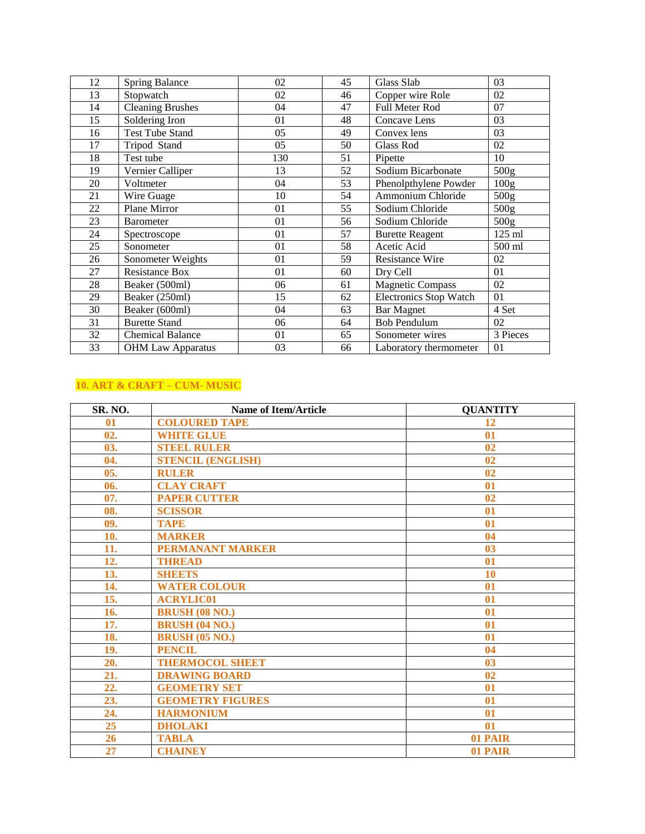| 12 | <b>Spring Balance</b>    | 02  | 45 | Glass Slab              | 03               |
|----|--------------------------|-----|----|-------------------------|------------------|
| 13 | Stopwatch                | 02  | 46 | Copper wire Role        | 02               |
| 14 | Cleaning Brushes         | 04  | 47 | Full Meter Rod          | 07               |
| 15 | Soldering Iron           | 01  | 48 | Concave Lens            | 03               |
| 16 | <b>Test Tube Stand</b>   | 05  | 49 | Convex lens             | 03               |
| 17 | Tripod Stand             | 05  | 50 | <b>Glass Rod</b>        | 02               |
| 18 | Test tube                | 130 | 51 | Pipette                 | 10               |
| 19 | Vernier Calliper         | 13  | 52 | Sodium Bicarbonate      | 500 <sub>g</sub> |
| 20 | Voltmeter                | 04  | 53 | Phenolpthylene Powder   | 100 <sub>g</sub> |
| 21 | Wire Guage               | 10  | 54 | Ammonium Chloride       | 500 <sub>g</sub> |
| 22 | Plane Mirror             | 01  | 55 | Sodium Chloride         | 500 <sub>g</sub> |
| 23 | <b>Barometer</b>         | 01  | 56 | Sodium Chloride         | 500 <sub>g</sub> |
| 24 | Spectroscope             | 01  | 57 | <b>Burette Reagent</b>  | 125 ml           |
| 25 | Sonometer                | 01  | 58 | Acetic Acid             | 500 ml           |
| 26 | Sonometer Weights        | 01  | 59 | <b>Resistance Wire</b>  | 02               |
| 27 | <b>Resistance Box</b>    | 01  | 60 | Dry Cell                | 01               |
| 28 | Beaker (500ml)           | 06  | 61 | <b>Magnetic Compass</b> | 02               |
| 29 | Beaker (250ml)           | 15  | 62 | Electronics Stop Watch  | 01               |
| 30 | Beaker (600ml)           | 04  | 63 | <b>Bar Magnet</b>       | 4 Set            |
| 31 | <b>Burette Stand</b>     | 06  | 64 | <b>Bob Pendulum</b>     | 02               |
| 32 | <b>Chemical Balance</b>  | 01  | 65 | Sonometer wires         | 3 Pieces         |
| 33 | <b>OHM Law Apparatus</b> | 03  | 66 | Laboratory thermometer  | 01               |

# **10. ART & CRAFT – CUM- MUSIC**

| SR. NO. | <b>Name of Item/Article</b> | <b>OUANTITY</b> |
|---------|-----------------------------|-----------------|
| 01      | <b>COLOURED TAPE</b>        | 12              |
| 02.     | <b>WHITE GLUE</b>           | 01              |
| 03.     | <b>STEEL RULER</b>          | 02              |
| 04.     | <b>STENCIL (ENGLISH)</b>    | 02              |
| 05.     | <b>RULER</b>                | 02              |
| 06.     | <b>CLAY CRAFT</b>           | 01              |
| 07.     | <b>PAPER CUTTER</b>         | 0 <sub>2</sub>  |
| 08.     | <b>SCISSOR</b>              | 01              |
| 09.     | <b>TAPE</b>                 | 01              |
| 10.     | <b>MARKER</b>               | 04              |
| 11.     | <b>PERMANANT MARKER</b>     | 0 <sup>3</sup>  |
| 12.     | <b>THREAD</b>               | 01              |
| 13.     | SHEETS                      | 10              |
| 14.     | <b>WATER COLOUR</b>         | 01              |
| 15.     | <b>ACRYLIC01</b>            | 01              |
| 16.     | <b>BRUSH (08 NO.)</b>       | 01              |
| 17.     | <b>BRUSH (04 NO.)</b>       | 01              |
| 18.     | <b>BRUSH (05 NO.)</b>       | 01              |
| 19.     | <b>PENCIL</b>               | 04              |
| 20.     | <b>THERMOCOL SHEET</b>      | 03              |
| 21.     | <b>DRAWING BOARD</b>        | 02              |
| 22.     | <b>GEOMETRY SET</b>         | 01              |
| 23.     | <b>GEOMETRY FIGURES</b>     | 01              |
| 24.     | <b>HARMONIUM</b>            | 01              |
| 25      | <b>DHOLAKI</b>              | 01              |
| 26      | <b>TABLA</b>                | 01 PAIR         |
| 27      | <b>CHAINEY</b>              | 01 PAIR         |